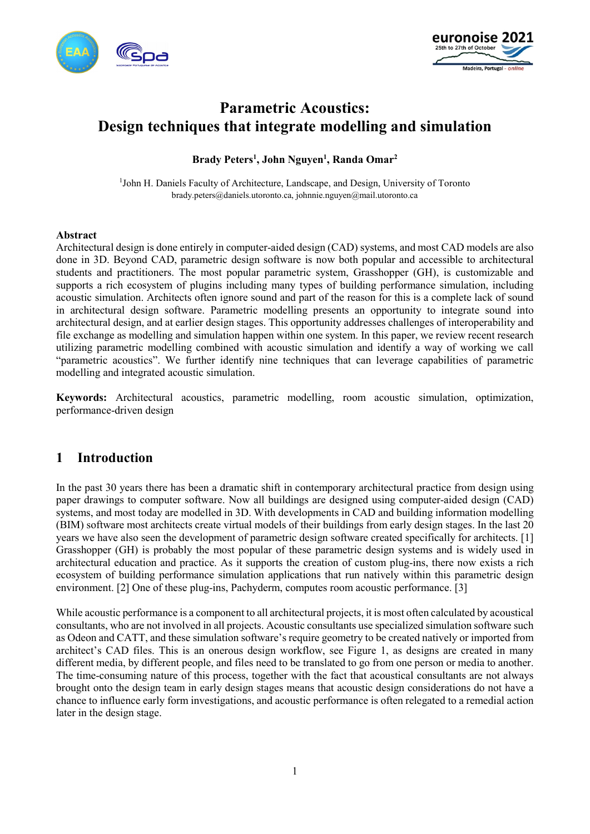



# **Parametric Acoustics: Design techniques that integrate modelling and simulation**

### **Brady Peters1 , John Nguyen1 , Randa Omar2**

<sup>1</sup>John H. Daniels Faculty of Architecture, Landscape, and Design, University of Toronto brady.peters@daniels.utoronto.ca, johnnie.nguyen@mail.utoronto.ca

#### **Abstract**

Architectural design is done entirely in computer-aided design (CAD) systems, and most CAD models are also done in 3D. Beyond CAD, parametric design software is now both popular and accessible to architectural students and practitioners. The most popular parametric system, Grasshopper (GH), is customizable and supports a rich ecosystem of plugins including many types of building performance simulation, including acoustic simulation. Architects often ignore sound and part of the reason for this is a complete lack of sound in architectural design software. Parametric modelling presents an opportunity to integrate sound into architectural design, and at earlier design stages. This opportunity addresses challenges of interoperability and file exchange as modelling and simulation happen within one system. In this paper, we review recent research utilizing parametric modelling combined with acoustic simulation and identify a way of working we call "parametric acoustics". We further identify nine techniques that can leverage capabilities of parametric modelling and integrated acoustic simulation.

**Keywords:** Architectural acoustics, parametric modelling, room acoustic simulation, optimization, performance-driven design

### **1 Introduction**

In the past 30 years there has been a dramatic shift in contemporary architectural practice from design using paper drawings to computer software. Now all buildings are designed using computer-aided design (CAD) systems, and most today are modelled in 3D. With developments in CAD and building information modelling (BIM) software most architects create virtual models of their buildings from early design stages. In the last 20 years we have also seen the development of parametric design software created specifically for architects. [1] Grasshopper (GH) is probably the most popular of these parametric design systems and is widely used in architectural education and practice. As it supports the creation of custom plug-ins, there now exists a rich ecosystem of building performance simulation applications that run natively within this parametric design environment. [2] One of these plug-ins, Pachyderm, computes room acoustic performance. [3]

While acoustic performance is a component to all architectural projects, it is most often calculated by acoustical consultants, who are not involved in all projects. Acoustic consultants use specialized simulation software such as Odeon and CATT, and these simulation software's require geometry to be created natively or imported from architect's CAD files. This is an onerous design workflow, see Figure 1, as designs are created in many different media, by different people, and files need to be translated to go from one person or media to another. The time-consuming nature of this process, together with the fact that acoustical consultants are not always brought onto the design team in early design stages means that acoustic design considerations do not have a chance to influence early form investigations, and acoustic performance is often relegated to a remedial action later in the design stage.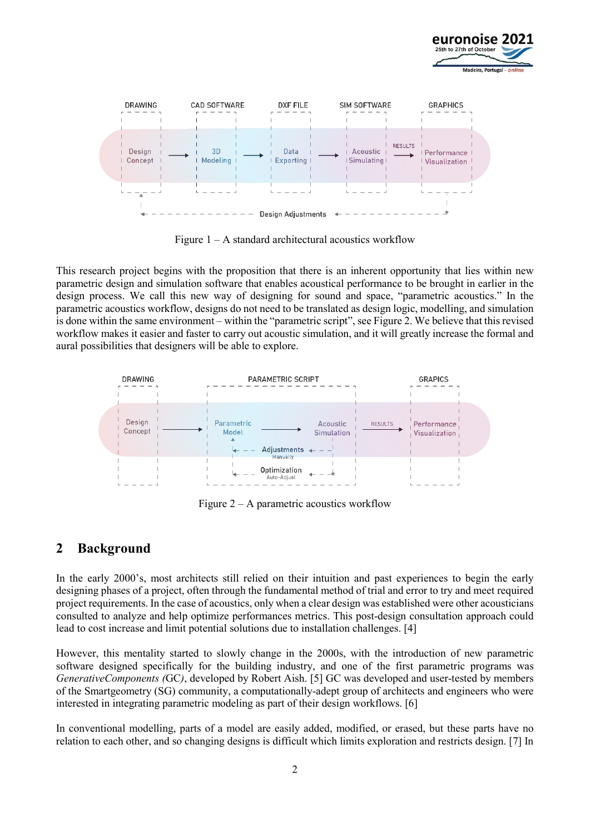



Figure  $1 - A$  standard architectural acoustics workflow

This research project begins with the proposition that there is an inherent opportunity that lies within new parametric design and simulation software that enables acoustical performance to be brought in earlier in the design process. We call this new way of designing for sound and space, "parametric acoustics." In the parametric acoustics workflow, designs do not need to be translated as design logic, modelling, and simulation is done within the same environment – within the "parametric script", see Figure 2. We believe that this revised workflow makes it easier and faster to carry out acoustic simulation, and it will greatly increase the formal and aural possibilities that designers will be able to explore.



Figure  $2 - A$  parametric acoustics workflow

# **2 Background**

In the early 2000's, most architects still relied on their intuition and past experiences to begin the early designing phases of a project, often through the fundamental method of trial and error to try and meet required project requirements. In the case of acoustics, only when a clear design was established were other acousticians consulted to analyze and help optimize performances metrics. This post-design consultation approach could lead to cost increase and limit potential solutions due to installation challenges. [4]

However, this mentality started to slowly change in the 2000s, with the introduction of new parametric software designed specifically for the building industry, and one of the first parametric programs was *GenerativeComponents (*GC*)*, developed by Robert Aish. [5] GC was developed and user-tested by members of the Smartgeometry (SG) community, a computationally-adept group of architects and engineers who were interested in integrating parametric modeling as part of their design workflows. [6]

In conventional modelling, parts of a model are easily added, modified, or erased, but these parts have no relation to each other, and so changing designs is difficult which limits exploration and restricts design. [7] In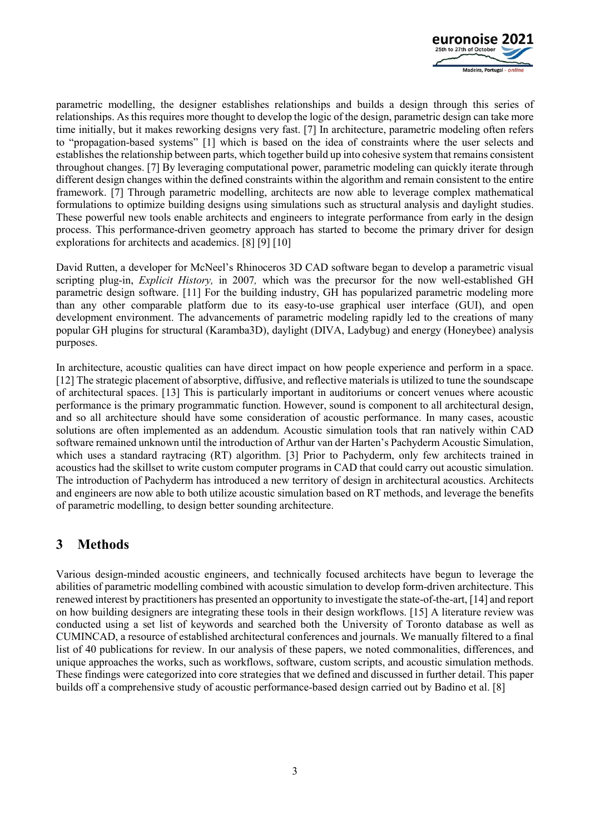

parametric modelling, the designer establishes relationships and builds a design through this series of relationships. As this requires more thought to develop the logic of the design, parametric design can take more time initially, but it makes reworking designs very fast. [7] In architecture, parametric modeling often refers to "propagation-based systems" [1] which is based on the idea of constraints where the user selects and establishes the relationship between parts, which together build up into cohesive system that remains consistent throughout changes. [7] By leveraging computational power, parametric modeling can quickly iterate through different design changes within the defined constraints within the algorithm and remain consistent to the entire framework. [7] Through parametric modelling, architects are now able to leverage complex mathematical formulations to optimize building designs using simulations such as structural analysis and daylight studies. These powerful new tools enable architects and engineers to integrate performance from early in the design process. This performance-driven geometry approach has started to become the primary driver for design explorations for architects and academics. [8] [9] [10]

David Rutten, a developer for McNeel's Rhinoceros 3D CAD software began to develop a parametric visual scripting plug-in, *Explicit History,* in 2007*,* which was the precursor for the now well-established GH parametric design software. [11] For the building industry, GH has popularized parametric modeling more than any other comparable platform due to its easy-to-use graphical user interface (GUI), and open development environment. The advancements of parametric modeling rapidly led to the creations of many popular GH plugins for structural (Karamba3D), daylight (DIVA, Ladybug) and energy (Honeybee) analysis purposes.

In architecture, acoustic qualities can have direct impact on how people experience and perform in a space. [12] The strategic placement of absorptive, diffusive, and reflective materials is utilized to tune the soundscape of architectural spaces. [13] This is particularly important in auditoriums or concert venues where acoustic performance is the primary programmatic function. However, sound is component to all architectural design, and so all architecture should have some consideration of acoustic performance. In many cases, acoustic solutions are often implemented as an addendum. Acoustic simulation tools that ran natively within CAD software remained unknown until the introduction of Arthur van der Harten's Pachyderm Acoustic Simulation, which uses a standard raytracing (RT) algorithm. [3] Prior to Pachyderm, only few architects trained in acoustics had the skillset to write custom computer programs in CAD that could carry out acoustic simulation. The introduction of Pachyderm has introduced a new territory of design in architectural acoustics. Architects and engineers are now able to both utilize acoustic simulation based on RT methods, and leverage the benefits of parametric modelling, to design better sounding architecture.

# **3 Methods**

Various design-minded acoustic engineers, and technically focused architects have begun to leverage the abilities of parametric modelling combined with acoustic simulation to develop form-driven architecture. This renewed interest by practitioners has presented an opportunity to investigate the state-of-the-art, [14] and report on how building designers are integrating these tools in their design workflows. [15] A literature review was conducted using a set list of keywords and searched both the University of Toronto database as well as CUMINCAD, a resource of established architectural conferences and journals. We manually filtered to a final list of 40 publications for review. In our analysis of these papers, we noted commonalities, differences, and unique approaches the works, such as workflows, software, custom scripts, and acoustic simulation methods. These findings were categorized into core strategies that we defined and discussed in further detail. This paper builds off a comprehensive study of acoustic performance-based design carried out by Badino et al. [8]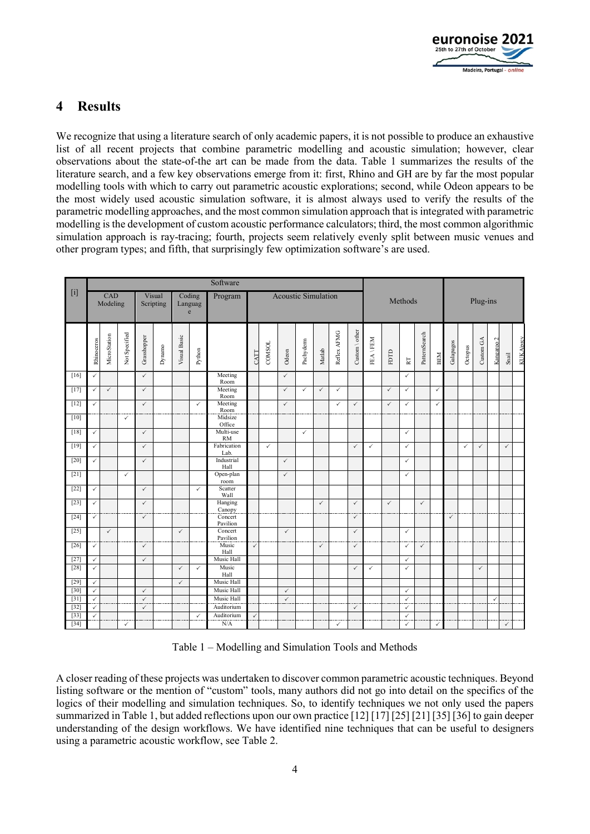

# **4 Results**

We recognize that using a literature search of only academic papers, it is not possible to produce an exhaustive list of all recent projects that combine parametric modelling and acoustic simulation; however, clear observations about the state-of-the art can be made from the data. Table 1 summarizes the results of the literature search, and a few key observations emerge from it: first, Rhino and GH are by far the most popular modelling tools with which to carry out parametric acoustic explorations; second, while Odeon appears to be the most widely used acoustic simulation software, it is almost always used to verify the results of the parametric modelling approaches, and the most common simulation approach that is integrated with parametric modelling is the development of custom acoustic performance calculators; third, the most common algorithmic simulation approach is ray-tracing; fourth, projects seem relatively evenly split between music venues and other program types; and fifth, that surprisingly few optimization software's are used.

|        | Software        |              |                     |              |                        |              |              |                            |              |              |              |              |              |              |                                                                    |                |              |              |               |              |              |              |              |                       |              |                   |
|--------|-----------------|--------------|---------------------|--------------|------------------------|--------------|--------------|----------------------------|--------------|--------------|--------------|--------------|--------------|--------------|--------------------------------------------------------------------|----------------|--------------|--------------|---------------|--------------|--------------|--------------|--------------|-----------------------|--------------|-------------------|
| $[1]$  | CAD<br>Modeling |              | Visual<br>Scripting |              | Coding<br>Languag<br>e |              | Program      | <b>Acoustic Simulation</b> |              |              |              |              |              | Methods      |                                                                    |                |              | Plug-ins     |               |              |              |              |              |                       |              |                   |
|        | Rhinoceros      | MicroStation | Not Specified       | Grasshopper  | Dynamo                 | Visual Basic | Python       |                            | CATT         | COMSOL       | Odeon        | Pachyderm    | Matlab       | Reflex AFMG  | $\mathop{\rm Custom}\nolimits\setminus\mathop{\rm other}\nolimits$ | <b>FEAVFEM</b> | FDTD         | RT           | PatternSearch | BEM          | Galapagos    | Octopus      | Custom GA    | Kangaroo <sub>2</sub> | Snail        | <b>KUKA</b> lprev |
| [16]   | $\checkmark$    |              |                     | $\checkmark$ |                        |              |              | Meeting<br>Room            |              |              | $\checkmark$ |              |              |              |                                                                    |                |              | $\checkmark$ |               |              |              |              |              |                       |              |                   |
| [17]   | ✓               | $\checkmark$ |                     | $\checkmark$ |                        |              |              | Meeting<br>Room            |              |              | $\checkmark$ | $\checkmark$ | $\checkmark$ | $\checkmark$ |                                                                    |                | $\checkmark$ | $\checkmark$ |               | $\checkmark$ |              |              |              |                       |              |                   |
| $[12]$ | ✓               |              |                     | $\checkmark$ |                        |              | $\checkmark$ | Meeting<br>Room            |              |              | $\checkmark$ |              |              | $\checkmark$ | $\checkmark$                                                       |                | $\checkmark$ | $\checkmark$ |               | $\checkmark$ |              |              |              |                       |              |                   |
| $[10]$ |                 |              | $\checkmark$        |              |                        |              |              | Midsize<br>Office          |              |              |              |              |              |              |                                                                    |                |              |              |               |              |              |              |              |                       |              |                   |
| [18]   | $\checkmark$    |              |                     | $\checkmark$ |                        |              |              | Multi-use<br><b>RM</b>     |              |              |              | $\checkmark$ |              |              |                                                                    |                |              | $\checkmark$ |               |              |              |              |              |                       |              |                   |
| $[19]$ | $\checkmark$    |              |                     | $\checkmark$ |                        |              |              | Fabrication<br>Lab.        |              | $\checkmark$ |              |              |              |              | $\checkmark$                                                       | $\checkmark$   |              | $\checkmark$ |               |              |              | $\checkmark$ | $\checkmark$ |                       | $\checkmark$ |                   |
| $[20]$ | $\checkmark$    |              |                     | $\checkmark$ |                        |              |              | Industrial<br>Hall         |              |              | $\checkmark$ |              |              |              |                                                                    |                |              | $\checkmark$ |               |              |              |              |              |                       |              |                   |
| $[21]$ |                 |              | $\checkmark$        |              |                        |              |              | Open-plan                  |              |              | $\checkmark$ |              |              |              |                                                                    |                |              | $\checkmark$ |               |              |              |              |              |                       |              |                   |
| $[22]$ | $\checkmark$    |              |                     | $\checkmark$ |                        |              | $\checkmark$ | room<br>Scatter            |              |              |              |              |              |              |                                                                    |                |              |              |               |              |              |              |              |                       |              |                   |
| $[23]$ | $\checkmark$    |              |                     | $\checkmark$ |                        |              |              | Wall<br>Hanging            |              |              |              |              | $\checkmark$ |              | $\checkmark$                                                       |                | $\checkmark$ |              | $\checkmark$  |              |              |              |              |                       |              |                   |
| $[24]$ | ✓               |              |                     | $\checkmark$ |                        |              |              | Canopy<br>Concert          |              |              |              |              |              |              | $\checkmark$                                                       |                |              |              |               |              | $\checkmark$ |              |              |                       |              |                   |
| $[25]$ |                 | $\checkmark$ |                     |              |                        | $\checkmark$ |              | Pavilion<br>Concert        |              |              | $\checkmark$ |              |              |              | $\checkmark$                                                       |                |              | $\checkmark$ |               |              |              |              |              |                       |              |                   |
| $[26]$ | ✓               |              |                     | $\checkmark$ |                        |              |              | Pavilion<br>Music          | $\checkmark$ |              |              |              | $\checkmark$ |              | $\checkmark$                                                       |                |              | $\checkmark$ | $\checkmark$  |              |              |              |              |                       |              |                   |
| $[27]$ | $\checkmark$    |              |                     | $\checkmark$ |                        |              |              | Hall<br>Music Hall         |              |              |              |              |              |              |                                                                    |                |              | $\checkmark$ |               |              |              |              |              |                       |              |                   |
| $[28]$ | $\checkmark$    |              |                     |              |                        | $\checkmark$ | $\checkmark$ | Music                      |              |              |              |              |              |              | $\checkmark$                                                       | $\checkmark$   |              | $\checkmark$ |               |              |              |              | $\checkmark$ |                       |              |                   |
| $[29]$ | $\checkmark$    |              |                     |              |                        | $\checkmark$ |              | Hall<br>Music Hall         |              |              |              |              |              |              |                                                                    |                |              |              |               |              |              |              |              |                       |              |                   |
| $[30]$ | $\checkmark$    |              |                     | $\checkmark$ |                        |              |              | Music Hall                 |              |              | $\checkmark$ |              |              |              |                                                                    |                |              | $\checkmark$ |               |              |              |              |              |                       |              |                   |
| $[31]$ | $\checkmark$    |              |                     | $\checkmark$ |                        |              |              | Music Hall                 |              |              | $\checkmark$ |              |              |              |                                                                    |                |              | $\checkmark$ |               |              |              |              |              | $\checkmark$          |              |                   |
| $[32]$ | $\checkmark$    |              |                     | $\checkmark$ |                        |              |              | Auditorium                 |              |              |              |              |              |              | $\checkmark$                                                       |                |              | $\checkmark$ |               |              |              |              |              |                       |              |                   |
| $[33]$ | ✓               |              |                     |              |                        |              | $\checkmark$ | Auditorium                 | $\checkmark$ |              |              |              |              |              |                                                                    |                |              | $\checkmark$ |               |              |              |              |              |                       |              |                   |
| $[34]$ |                 |              | $\checkmark$        |              |                        |              |              | N/A                        |              |              |              |              |              | $\checkmark$ |                                                                    |                |              | $\checkmark$ |               | $\checkmark$ |              |              |              |                       | $\checkmark$ |                   |

Table 1 – Modelling and Simulation Tools and Methods

A closer reading of these projects was undertaken to discover common parametric acoustic techniques. Beyond listing software or the mention of "custom" tools, many authors did not go into detail on the specifics of the logics of their modelling and simulation techniques. So, to identify techniques we not only used the papers summarized in Table 1, but added reflections upon our own practice [12] [17] [25] [21] [35] [36] to gain deeper understanding of the design workflows. We have identified nine techniques that can be useful to designers using a parametric acoustic workflow, see Table 2.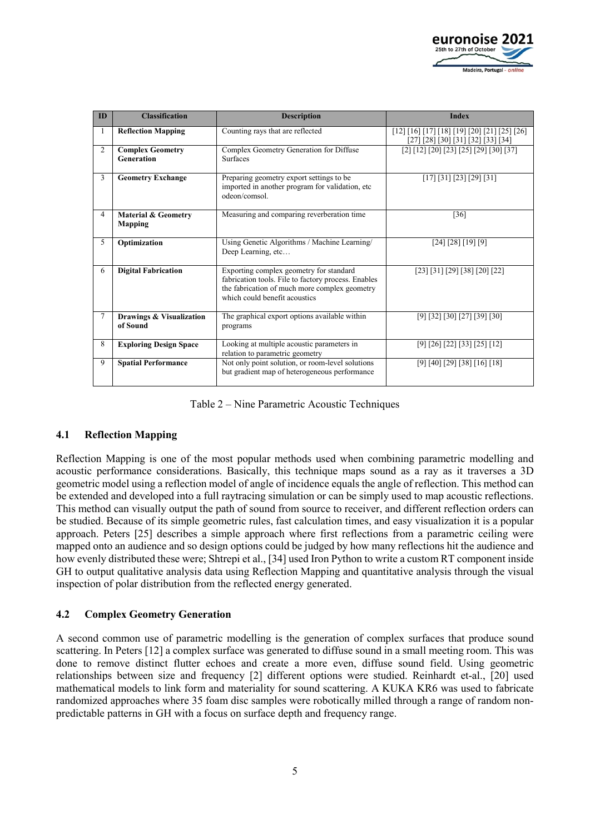

| ID             | <b>Classification</b>                            | <b>Description</b>                                                                                                                                                               | <b>Index</b>                                                                         |
|----------------|--------------------------------------------------|----------------------------------------------------------------------------------------------------------------------------------------------------------------------------------|--------------------------------------------------------------------------------------|
| 1              | <b>Reflection Mapping</b>                        | Counting rays that are reflected                                                                                                                                                 | $[12] [16] [17] [18] [19] [20] [21] [25] [26]$<br>[27] [28] [30] [31] [32] [33] [34] |
| $\overline{2}$ | <b>Complex Geometry</b><br><b>Generation</b>     | Complex Geometry Generation for Diffuse<br><b>Surfaces</b>                                                                                                                       | $[2] [12] [20] [23] [25] [29] [30] [37]$                                             |
| 3              | <b>Geometry Exchange</b>                         | Preparing geometry export settings to be<br>imported in another program for validation, etc<br>odeon/comsol.                                                                     | [17] [31] [23] [29] [31]                                                             |
| $\overline{4}$ | <b>Material &amp; Geometry</b><br><b>Mapping</b> | Measuring and comparing reverberation time                                                                                                                                       | [36]                                                                                 |
| 5              | Optimization                                     | Using Genetic Algorithms / Machine Learning/<br>Deep Learning, etc                                                                                                               | [24] [28] [19] [9]                                                                   |
| 6              | <b>Digital Fabrication</b>                       | Exporting complex geometry for standard<br>fabrication tools. File to factory process. Enables<br>the fabrication of much more complex geometry<br>which could benefit acoustics | [23] [31] [29] [38] [20] [22]                                                        |
| 7              | Drawings & Visualization<br>of Sound             | The graphical export options available within<br>programs                                                                                                                        | $[9]$ [32] [30] [27] [39] [30]                                                       |
| 8              | <b>Exploring Design Space</b>                    | Looking at multiple acoustic parameters in<br>relation to parametric geometry                                                                                                    | [9] [26] [22] [33] [25] [12]                                                         |
| 9              | <b>Spatial Performance</b>                       | Not only point solution, or room-level solutions<br>but gradient map of heterogeneous performance                                                                                | [9] [40] [29] [38] [16] [18]                                                         |

Table 2 – Nine Parametric Acoustic Techniques

#### **4.1 Reflection Mapping**

Reflection Mapping is one of the most popular methods used when combining parametric modelling and acoustic performance considerations. Basically, this technique maps sound as a ray as it traverses a 3D geometric model using a reflection model of angle of incidence equals the angle of reflection. This method can be extended and developed into a full raytracing simulation or can be simply used to map acoustic reflections. This method can visually output the path of sound from source to receiver, and different reflection orders can be studied. Because of its simple geometric rules, fast calculation times, and easy visualization it is a popular approach. Peters [25] describes a simple approach where first reflections from a parametric ceiling were mapped onto an audience and so design options could be judged by how many reflections hit the audience and how evenly distributed these were; Shtrepi et al., [34] used Iron Python to write a custom RT component inside GH to output qualitative analysis data using Reflection Mapping and quantitative analysis through the visual inspection of polar distribution from the reflected energy generated.

#### **4.2 Complex Geometry Generation**

A second common use of parametric modelling is the generation of complex surfaces that produce sound scattering. In Peters [12] a complex surface was generated to diffuse sound in a small meeting room. This was done to remove distinct flutter echoes and create a more even, diffuse sound field. Using geometric relationships between size and frequency [2] different options were studied. Reinhardt et-al., [20] used mathematical models to link form and materiality for sound scattering. A KUKA KR6 was used to fabricate randomized approaches where 35 foam disc samples were robotically milled through a range of random nonpredictable patterns in GH with a focus on surface depth and frequency range.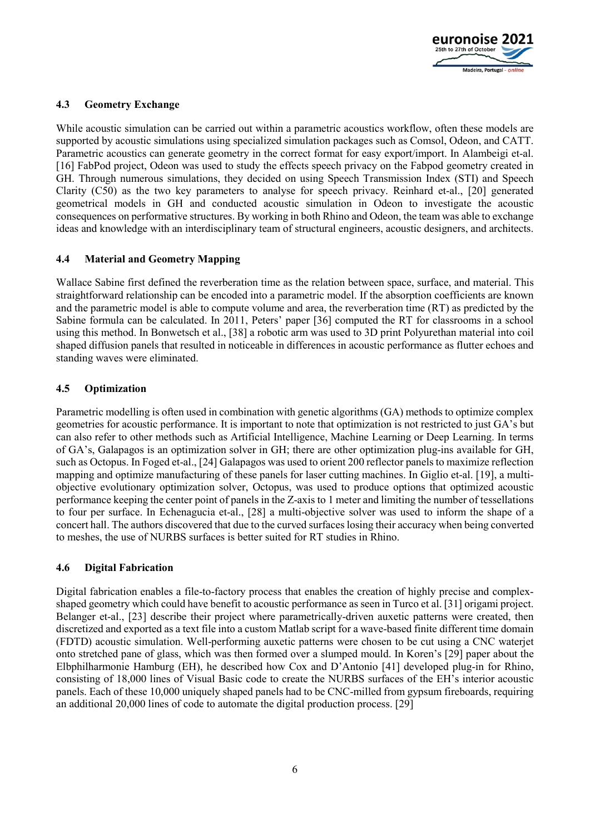

#### **4.3 Geometry Exchange**

While acoustic simulation can be carried out within a parametric acoustics workflow, often these models are supported by acoustic simulations using specialized simulation packages such as Comsol, Odeon, and CATT. Parametric acoustics can generate geometry in the correct format for easy export/import. In Alambeigi et-al. [16] FabPod project, Odeon was used to study the effects speech privacy on the Fabpod geometry created in GH. Through numerous simulations, they decided on using Speech Transmission Index (STI) and Speech Clarity (C50) as the two key parameters to analyse for speech privacy. Reinhard et-al., [20] generated geometrical models in GH and conducted acoustic simulation in Odeon to investigate the acoustic consequences on performative structures. By working in both Rhino and Odeon, the team was able to exchange ideas and knowledge with an interdisciplinary team of structural engineers, acoustic designers, and architects.

#### **4.4 Material and Geometry Mapping**

Wallace Sabine first defined the reverberation time as the relation between space, surface, and material. This straightforward relationship can be encoded into a parametric model. If the absorption coefficients are known and the parametric model is able to compute volume and area, the reverberation time (RT) as predicted by the Sabine formula can be calculated. In 2011, Peters' paper [36] computed the RT for classrooms in a school using this method. In Bonwetsch et al., [38] a robotic arm was used to 3D print Polyurethan material into coil shaped diffusion panels that resulted in noticeable in differences in acoustic performance as flutter echoes and standing waves were eliminated.

#### **4.5 Optimization**

Parametric modelling is often used in combination with genetic algorithms (GA) methods to optimize complex geometries for acoustic performance. It is important to note that optimization is not restricted to just GA's but can also refer to other methods such as Artificial Intelligence, Machine Learning or Deep Learning. In terms of GA's, Galapagos is an optimization solver in GH; there are other optimization plug-ins available for GH, such as Octopus. In Foged et-al., [24] Galapagos was used to orient 200 reflector panels to maximize reflection mapping and optimize manufacturing of these panels for laser cutting machines. In Giglio et-al. [19], a multiobjective evolutionary optimization solver, Octopus, was used to produce options that optimized acoustic performance keeping the center point of panels in the Z-axis to 1 meter and limiting the number of tessellations to four per surface. In Echenagucia et-al., [28] a multi-objective solver was used to inform the shape of a concert hall. The authors discovered that due to the curved surfaces losing their accuracy when being converted to meshes, the use of NURBS surfaces is better suited for RT studies in Rhino.

#### **4.6 Digital Fabrication**

Digital fabrication enables a file-to-factory process that enables the creation of highly precise and complexshaped geometry which could have benefit to acoustic performance as seen in Turco et al. [31] origami project. Belanger et-al., [23] describe their project where parametrically-driven auxetic patterns were created, then discretized and exported as a text file into a custom Matlab script for a wave-based finite different time domain (FDTD) acoustic simulation. Well-performing auxetic patterns were chosen to be cut using a CNC waterjet onto stretched pane of glass, which was then formed over a slumped mould. In Koren's [29] paper about the Elbphilharmonie Hamburg (EH), he described how Cox and D'Antonio [41] developed plug-in for Rhino, consisting of 18,000 lines of Visual Basic code to create the NURBS surfaces of the EH's interior acoustic panels. Each of these 10,000 uniquely shaped panels had to be CNC-milled from gypsum fireboards, requiring an additional 20,000 lines of code to automate the digital production process. [29]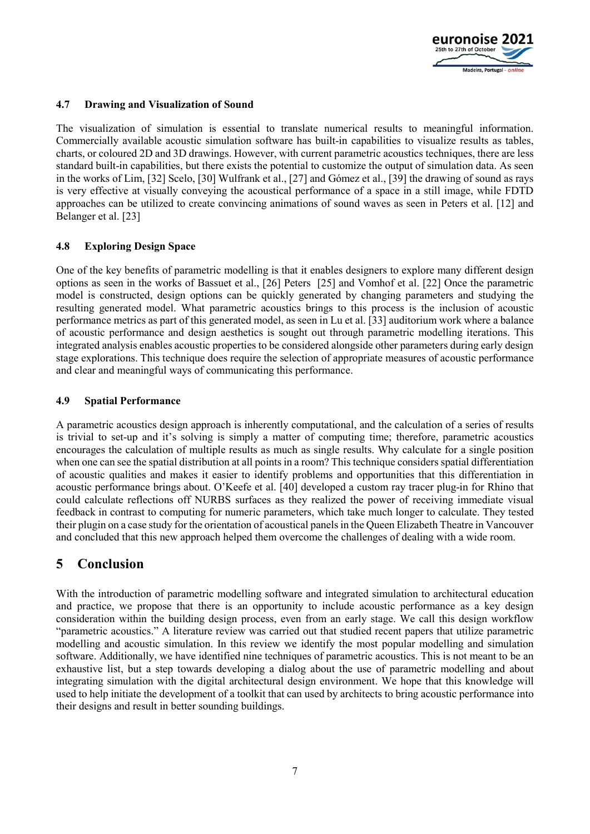

#### **4.7 Drawing and Visualization of Sound**

The visualization of simulation is essential to translate numerical results to meaningful information. Commercially available acoustic simulation software has built-in capabilities to visualize results as tables, charts, or coloured 2D and 3D drawings. However, with current parametric acoustics techniques, there are less standard built-in capabilities, but there exists the potential to customize the output of simulation data. As seen in the works of Lim, [32] Scelo, [30] Wulfrank et al., [27] and Gómez et al., [39] the drawing of sound as rays is very effective at visually conveying the acoustical performance of a space in a still image, while FDTD approaches can be utilized to create convincing animations of sound waves as seen in Peters et al. [12] and Belanger et al. [23]

#### **4.8 Exploring Design Space**

One of the key benefits of parametric modelling is that it enables designers to explore many different design options as seen in the works of Bassuet et al., [26] Peters [25] and Vomhof et al. [22] Once the parametric model is constructed, design options can be quickly generated by changing parameters and studying the resulting generated model. What parametric acoustics brings to this process is the inclusion of acoustic performance metrics as part of this generated model, as seen in Lu et al. [33] auditorium work where a balance of acoustic performance and design aesthetics is sought out through parametric modelling iterations. This integrated analysis enables acoustic properties to be considered alongside other parameters during early design stage explorations. This technique does require the selection of appropriate measures of acoustic performance and clear and meaningful ways of communicating this performance.

#### **4.9 Spatial Performance**

A parametric acoustics design approach is inherently computational, and the calculation of a series of results is trivial to set-up and it's solving is simply a matter of computing time; therefore, parametric acoustics encourages the calculation of multiple results as much as single results. Why calculate for a single position when one can see the spatial distribution at all points in a room? This technique considers spatial differentiation of acoustic qualities and makes it easier to identify problems and opportunities that this differentiation in acoustic performance brings about. O'Keefe et al. [40] developed a custom ray tracer plug-in for Rhino that could calculate reflections off NURBS surfaces as they realized the power of receiving immediate visual feedback in contrast to computing for numeric parameters, which take much longer to calculate. They tested their plugin on a case study for the orientation of acoustical panels in the Queen Elizabeth Theatre in Vancouver and concluded that this new approach helped them overcome the challenges of dealing with a wide room.

# **5 Conclusion**

With the introduction of parametric modelling software and integrated simulation to architectural education and practice, we propose that there is an opportunity to include acoustic performance as a key design consideration within the building design process, even from an early stage. We call this design workflow "parametric acoustics." A literature review was carried out that studied recent papers that utilize parametric modelling and acoustic simulation. In this review we identify the most popular modelling and simulation software. Additionally, we have identified nine techniques of parametric acoustics. This is not meant to be an exhaustive list, but a step towards developing a dialog about the use of parametric modelling and about integrating simulation with the digital architectural design environment. We hope that this knowledge will used to help initiate the development of a toolkit that can used by architects to bring acoustic performance into their designs and result in better sounding buildings.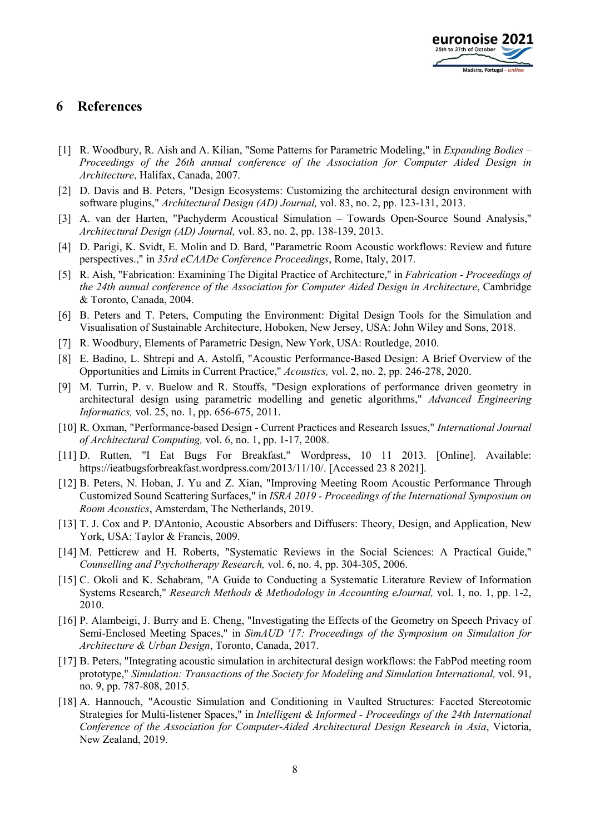

### **6 References**

- [1] R. Woodbury, R. Aish and A. Kilian, "Some Patterns for Parametric Modeling," in *Expanding Bodies – Proceedings of the 26th annual conference of the Association for Computer Aided Design in Architecture*, Halifax, Canada, 2007.
- [2] D. Davis and B. Peters, "Design Ecosystems: Customizing the architectural design environment with software plugins," *Architectural Design (AD) Journal,* vol. 83, no. 2, pp. 123-131, 2013.
- [3] A. van der Harten, "Pachyderm Acoustical Simulation Towards Open-Source Sound Analysis," *Architectural Design (AD) Journal,* vol. 83, no. 2, pp. 138-139, 2013.
- [4] D. Parigi, K. Svidt, E. Molin and D. Bard, "Parametric Room Acoustic workflows: Review and future perspectives.," in *35rd eCAADe Conference Proceedings*, Rome, Italy, 2017.
- [5] R. Aish, "Fabrication: Examining The Digital Practice of Architecture," in *Fabrication - Proceedings of the 24th annual conference of the Association for Computer Aided Design in Architecture*, Cambridge & Toronto, Canada, 2004.
- [6] B. Peters and T. Peters, Computing the Environment: Digital Design Tools for the Simulation and Visualisation of Sustainable Architecture, Hoboken, New Jersey, USA: John Wiley and Sons, 2018.
- [7] R. Woodbury, Elements of Parametric Design, New York, USA: Routledge, 2010.
- [8] E. Badino, L. Shtrepi and A. Astolfi, "Acoustic Performance-Based Design: A Brief Overview of the Opportunities and Limits in Current Practice," *Acoustics,* vol. 2, no. 2, pp. 246-278, 2020.
- [9] M. Turrin, P. v. Buelow and R. Stouffs, "Design explorations of performance driven geometry in architectural design using parametric modelling and genetic algorithms," *Advanced Engineering Informatics,* vol. 25, no. 1, pp. 656-675, 2011.
- [10] R. Oxman, "Performance-based Design Current Practices and Research Issues," *International Journal of Architectural Computing,* vol. 6, no. 1, pp. 1-17, 2008.
- [11] D. Rutten, "I Eat Bugs For Breakfast," Wordpress, 10 11 2013. [Online]. Available: https://ieatbugsforbreakfast.wordpress.com/2013/11/10/. [Accessed 23 8 2021].
- [12] B. Peters, N. Hoban, J. Yu and Z. Xian, "Improving Meeting Room Acoustic Performance Through Customized Sound Scattering Surfaces," in *ISRA 2019 - Proceedings of the International Symposium on Room Acoustics*, Amsterdam, The Netherlands, 2019.
- [13] T. J. Cox and P. D'Antonio, Acoustic Absorbers and Diffusers: Theory, Design, and Application, New York, USA: Taylor & Francis, 2009.
- [14] M. Petticrew and H. Roberts, "Systematic Reviews in the Social Sciences: A Practical Guide," *Counselling and Psychotherapy Research,* vol. 6, no. 4, pp. 304-305, 2006.
- [15] C. Okoli and K. Schabram, "A Guide to Conducting a Systematic Literature Review of Information Systems Research," *Research Methods & Methodology in Accounting eJournal,* vol. 1, no. 1, pp. 1-2, 2010.
- [16] P. Alambeigi, J. Burry and E. Cheng, "Investigating the Effects of the Geometry on Speech Privacy of Semi-Enclosed Meeting Spaces," in *SimAUD '17: Proceedings of the Symposium on Simulation for Architecture & Urban Design*, Toronto, Canada, 2017.
- [17] B. Peters, "Integrating acoustic simulation in architectural design workflows: the FabPod meeting room prototype," *Simulation: Transactions of the Society for Modeling and Simulation International,* vol. 91, no. 9, pp. 787-808, 2015.
- [18] A. Hannouch, "Acoustic Simulation and Conditioning in Vaulted Structures: Faceted Stereotomic Strategies for Multi-listener Spaces," in *Intelligent & Informed - Proceedings of the 24th International Conference of the Association for Computer-Aided Architectural Design Research in Asia*, Victoria, New Zealand, 2019.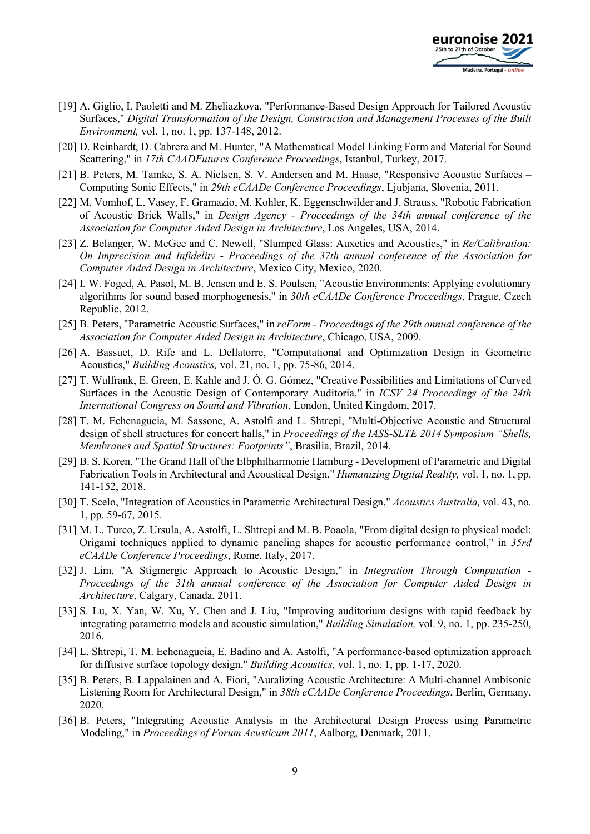

- [19] A. Giglio, I. Paoletti and M. Zheliazkova, "Performance-Based Design Approach for Tailored Acoustic Surfaces," *Digital Transformation of the Design, Construction and Management Processes of the Built Environment,* vol. 1, no. 1, pp. 137-148, 2012.
- [20] D. Reinhardt, D. Cabrera and M. Hunter, "A Mathematical Model Linking Form and Material for Sound Scattering," in *17th CAADFutures Conference Proceedings*, Istanbul, Turkey, 2017.
- [21] B. Peters, M. Tamke, S. A. Nielsen, S. V. Andersen and M. Haase, "Responsive Acoustic Surfaces Computing Sonic Effects," in *29th eCAADe Conference Proceedings*, Ljubjana, Slovenia, 2011.
- [22] M. Vomhof, L. Vasey, F. Gramazio, M. Kohler, K. Eggenschwilder and J. Strauss, "Robotic Fabrication of Acoustic Brick Walls," in *Design Agency - Proceedings of the 34th annual conference of the Association for Computer Aided Design in Architecture*, Los Angeles, USA, 2014.
- [23] Z. Belanger, W. McGee and C. Newell, "Slumped Glass: Auxetics and Acoustics," in *Re/Calibration: On Imprecision and Infidelity - Proceedings of the 37th annual conference of the Association for Computer Aided Design in Architecture*, Mexico City, Mexico, 2020.
- [24] I. W. Foged, A. Pasol, M. B. Jensen and E. S. Poulsen, "Acoustic Environments: Applying evolutionary algorithms for sound based morphogenesis," in *30th eCAADe Conference Proceedings*, Prague, Czech Republic, 2012.
- [25] B. Peters, "Parametric Acoustic Surfaces," in *reForm - Proceedings of the 29th annual conference of the Association for Computer Aided Design in Architecture*, Chicago, USA, 2009.
- [26] A. Bassuet, D. Rife and L. Dellatorre, "Computational and Optimization Design in Geometric Acoustics," *Building Acoustics,* vol. 21, no. 1, pp. 75-86, 2014.
- [27] T. Wulfrank, E. Green, E. Kahle and J. Ó. G. Gómez, "Creative Possibilities and Limitations of Curved Surfaces in the Acoustic Design of Contemporary Auditoria," in *ICSV 24 Proceedings of the 24th International Congress on Sound and Vibration*, London, United Kingdom, 2017.
- [28] T. M. Echenagucia, M. Sassone, A. Astolfi and L. Shtrepi, "Multi-Objective Acoustic and Structural design of shell structures for concert halls," in *Proceedings of the IASS-SLTE 2014 Symposium "Shells, Membranes and Spatial Structures: Footprints"*, Brasilia, Brazil, 2014.
- [29] B. S. Koren, "The Grand Hall of the Elbphilharmonie Hamburg Development of Parametric and Digital Fabrication Tools in Architectural and Acoustical Design," *Humanizing Digital Reality,* vol. 1, no. 1, pp. 141-152, 2018.
- [30] T. Scelo, "Integration of Acoustics in Parametric Architectural Design," *Acoustics Australia,* vol. 43, no. 1, pp. 59-67, 2015.
- [31] M. L. Turco, Z. Ursula, A. Astolfi, L. Shtrepi and M. B. Poaola, "From digital design to physical model: Origami techniques applied to dynamic paneling shapes for acoustic performance control," in *35rd eCAADe Conference Proceedings*, Rome, Italy, 2017.
- [32] J. Lim, "A Stigmergic Approach to Acoustic Design," in *Integration Through Computation - Proceedings of the 31th annual conference of the Association for Computer Aided Design in Architecture*, Calgary, Canada, 2011.
- [33] S. Lu, X. Yan, W. Xu, Y. Chen and J. Liu, "Improving auditorium designs with rapid feedback by integrating parametric models and acoustic simulation," *Building Simulation,* vol. 9, no. 1, pp. 235-250, 2016.
- [34] L. Shtrepi, T. M. Echenagucia, E. Badino and A. Astolfi, "A performance-based optimization approach for diffusive surface topology design," *Building Acoustics,* vol. 1, no. 1, pp. 1-17, 2020.
- [35] B. Peters, B. Lappalainen and A. Fiori, "Auralizing Acoustic Architecture: A Multi-channel Ambisonic Listening Room for Architectural Design," in *38th eCAADe Conference Proceedings*, Berlin, Germany, 2020.
- [36] B. Peters, "Integrating Acoustic Analysis in the Architectural Design Process using Parametric Modeling," in *Proceedings of Forum Acusticum 2011*, Aalborg, Denmark, 2011.